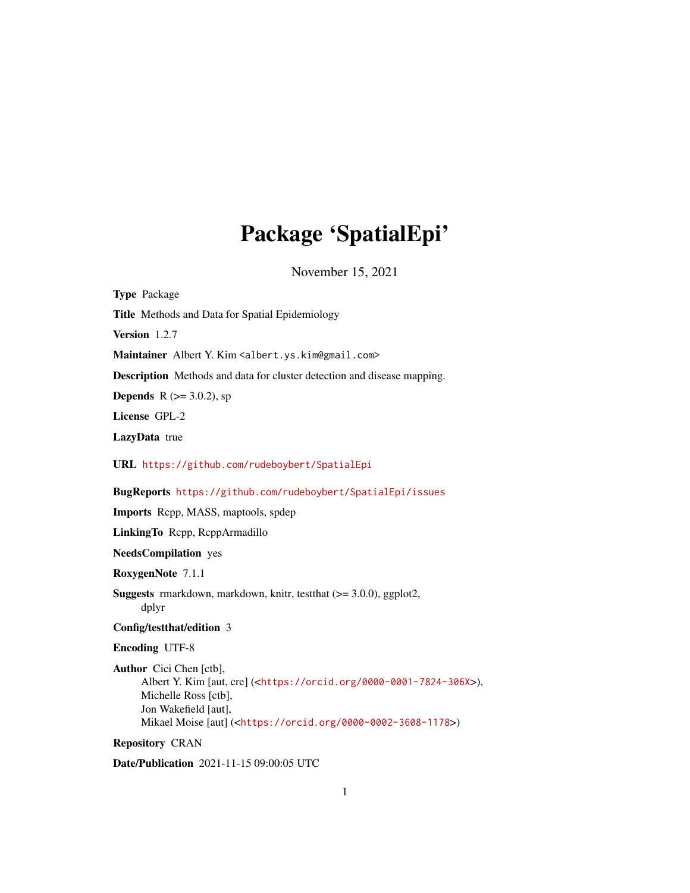# Package 'SpatialEpi'

November 15, 2021

Title Methods and Data for Spatial Epidemiology Version 1.2.7 Maintainer Albert Y. Kim <albert.ys.kim@gmail.com> Description Methods and data for cluster detection and disease mapping. **Depends** R ( $> = 3.0.2$ ), sp License GPL-2 LazyData true URL <https://github.com/rudeboybert/SpatialEpi> BugReports <https://github.com/rudeboybert/SpatialEpi/issues> Imports Rcpp, MASS, maptools, spdep LinkingTo Rcpp, RcppArmadillo NeedsCompilation yes RoxygenNote 7.1.1 Suggests rmarkdown, markdown, knitr, testthat (>= 3.0.0), ggplot2, dplyr Config/testthat/edition 3 Encoding UTF-8 Author Cici Chen [ctb], Albert Y. Kim [aut, cre] (<<https://orcid.org/0000-0001-7824-306X>>), Michelle Ross [ctb], Jon Wakefield [aut], Mikael Moise [aut] (<<https://orcid.org/0000-0002-3608-1178>>)

# Repository CRAN

<span id="page-0-0"></span>Type Package

Date/Publication 2021-11-15 09:00:05 UTC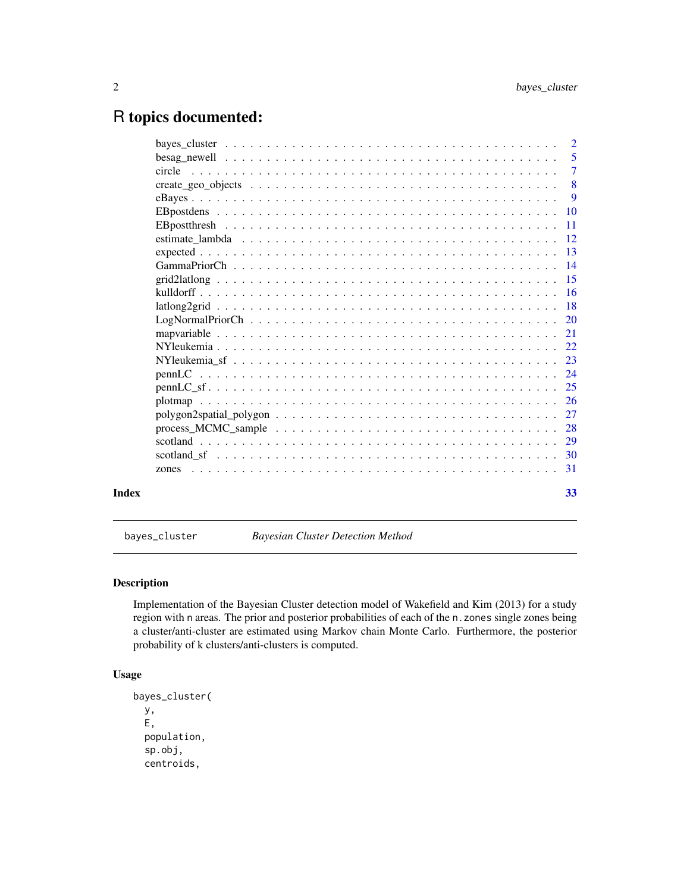# <span id="page-1-0"></span>R topics documented:

|       |       | $\overline{7}$ |
|-------|-------|----------------|
|       |       |                |
|       |       | - 9            |
|       |       |                |
|       |       |                |
|       |       |                |
|       |       |                |
|       |       |                |
|       |       |                |
|       |       |                |
|       |       |                |
|       |       |                |
|       |       |                |
|       |       |                |
|       |       |                |
|       |       |                |
|       |       |                |
|       |       |                |
|       |       |                |
|       |       |                |
|       |       |                |
|       |       |                |
|       | zones |                |
|       |       |                |
| Index |       | 33             |

<span id="page-1-1"></span>bayes\_cluster *Bayesian Cluster Detection Method*

# Description

Implementation of the Bayesian Cluster detection model of Wakefield and Kim (2013) for a study region with n areas. The prior and posterior probabilities of each of the n.zones single zones being a cluster/anti-cluster are estimated using Markov chain Monte Carlo. Furthermore, the posterior probability of k clusters/anti-clusters is computed.

# Usage

```
bayes_cluster(
 y,
 E,
 population,
  sp.obj,
 centroids,
```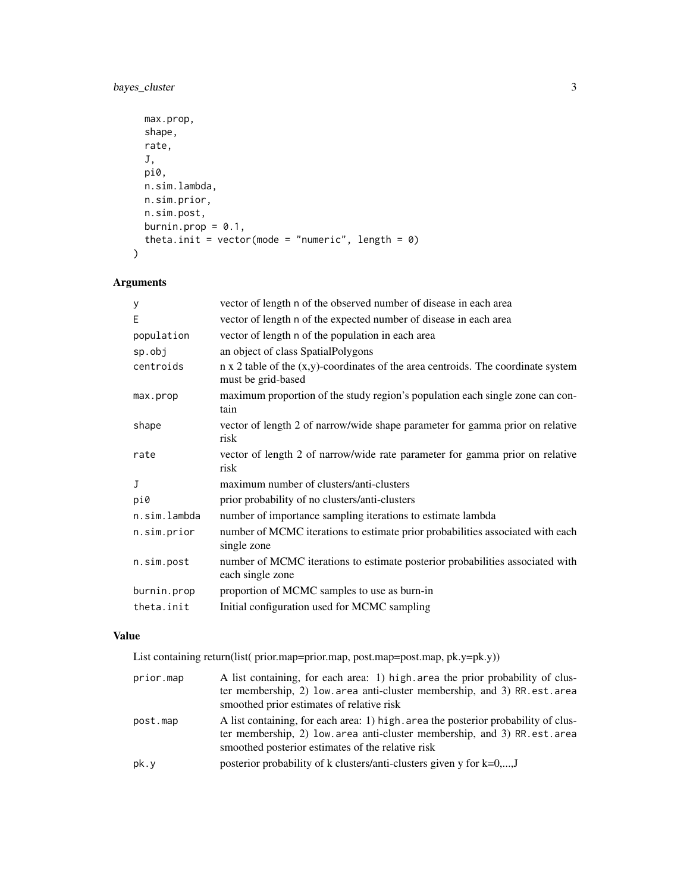```
max.prop,
 shape,
 rate,
 J,
 pi0,
 n.sim.lambda,
 n.sim.prior,
 n.sim.post,
 burnin.prop = 0.1,
 theta.init = vector(mode = "numeric", length = 0)
\mathcal{L}
```
# Arguments

| У            | vector of length n of the observed number of disease in each area                                                 |
|--------------|-------------------------------------------------------------------------------------------------------------------|
| E            | vector of length n of the expected number of disease in each area                                                 |
| population   | vector of length n of the population in each area                                                                 |
| sp.obj       | an object of class SpatialPolygons                                                                                |
| centroids    | $n \times 2$ table of the $(x,y)$ -coordinates of the area centroids. The coordinate system<br>must be grid-based |
| max.prop     | maximum proportion of the study region's population each single zone can con-<br>tain                             |
| shape        | vector of length 2 of narrow/wide shape parameter for gamma prior on relative<br>risk                             |
| rate         | vector of length 2 of narrow/wide rate parameter for gamma prior on relative<br>risk                              |
| J            | maximum number of clusters/anti-clusters                                                                          |
| pi0          | prior probability of no clusters/anti-clusters                                                                    |
| n.sim.lambda | number of importance sampling iterations to estimate lambda                                                       |
| n.sim.prior  | number of MCMC iterations to estimate prior probabilities associated with each<br>single zone                     |
| n.sim.post   | number of MCMC iterations to estimate posterior probabilities associated with<br>each single zone                 |
| burnin.prop  | proportion of MCMC samples to use as burn-in                                                                      |
| theta.init   | Initial configuration used for MCMC sampling                                                                      |

# Value

List containing return(list( prior.map=prior.map, post.map=post.map, pk.y=pk.y))

| prior.map | A list containing, for each area: 1) high area the prior probability of clus-                                                                                                                                      |
|-----------|--------------------------------------------------------------------------------------------------------------------------------------------------------------------------------------------------------------------|
|           | ter membership, 2) low area anti-cluster membership, and 3) RR.est.area<br>smoothed prior estimates of relative risk                                                                                               |
| post.map  | A list containing, for each area: 1) high, area the posterior probability of clus-<br>ter membership, 2) low area anti-cluster membership, and 3) RR est area<br>smoothed posterior estimates of the relative risk |
| pk.y      | posterior probability of k clusters/anti-clusters given y for $k=0,,J$                                                                                                                                             |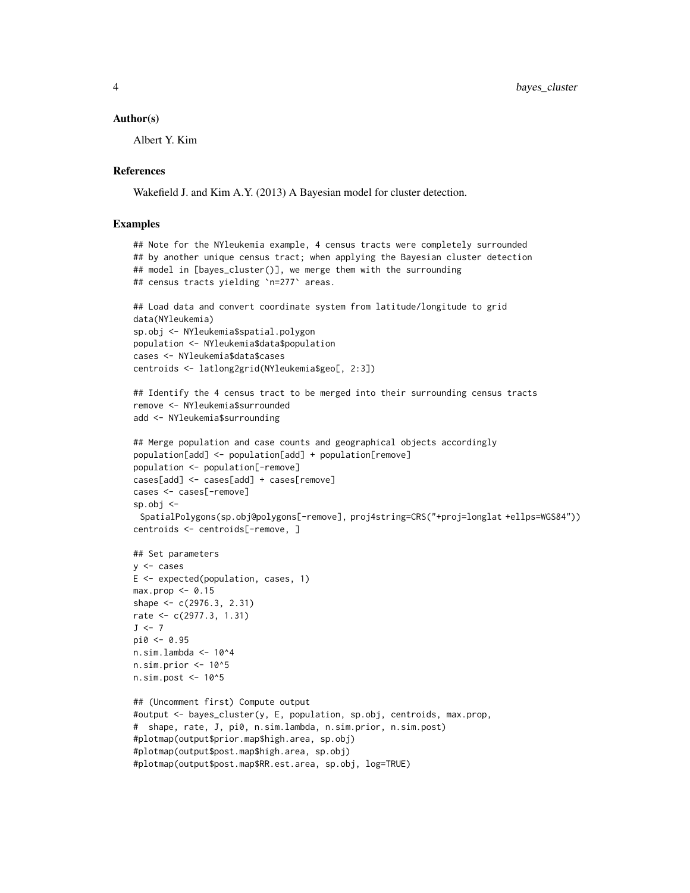#### Author(s)

Albert Y. Kim

#### References

Wakefield J. and Kim A.Y. (2013) A Bayesian model for cluster detection.

```
## Note for the NYleukemia example, 4 census tracts were completely surrounded
## by another unique census tract; when applying the Bayesian cluster detection
## model in [bayes_cluster()], we merge them with the surrounding
## census tracts yielding `n=277` areas.
## Load data and convert coordinate system from latitude/longitude to grid
data(NYleukemia)
sp.obj <- NYleukemia$spatial.polygon
population <- NYleukemia$data$population
cases <- NYleukemia$data$cases
centroids <- latlong2grid(NYleukemia$geo[, 2:3])
## Identify the 4 census tract to be merged into their surrounding census tracts
remove <- NYleukemia$surrounded
add <- NYleukemia$surrounding
## Merge population and case counts and geographical objects accordingly
population[add] <- population[add] + population[remove]
population <- population[-remove]
cases[add] <- cases[add] + cases[remove]
cases <- cases[-remove]
sp.obj \leftarrowSpatialPolygons(sp.obj@polygons[-remove], proj4string=CRS("+proj=longlat +ellps=WGS84"))
centroids <- centroids[-remove, ]
## Set parameters
y <- cases
E <- expected(population, cases, 1)
max.prop \le 0.15shape <- c(2976.3, 2.31)
rate <- c(2977.3, 1.31)
J \leftarrow 7pi0 <- 0.95
n.sim.lambda <- 10^4
n.sim.prior <- 10^5
n.sim.post <- 10^5
## (Uncomment first) Compute output
#output <- bayes_cluster(y, E, population, sp.obj, centroids, max.prop,
# shape, rate, J, pi0, n.sim.lambda, n.sim.prior, n.sim.post)
#plotmap(output$prior.map$high.area, sp.obj)
#plotmap(output$post.map$high.area, sp.obj)
#plotmap(output$post.map$RR.est.area, sp.obj, log=TRUE)
```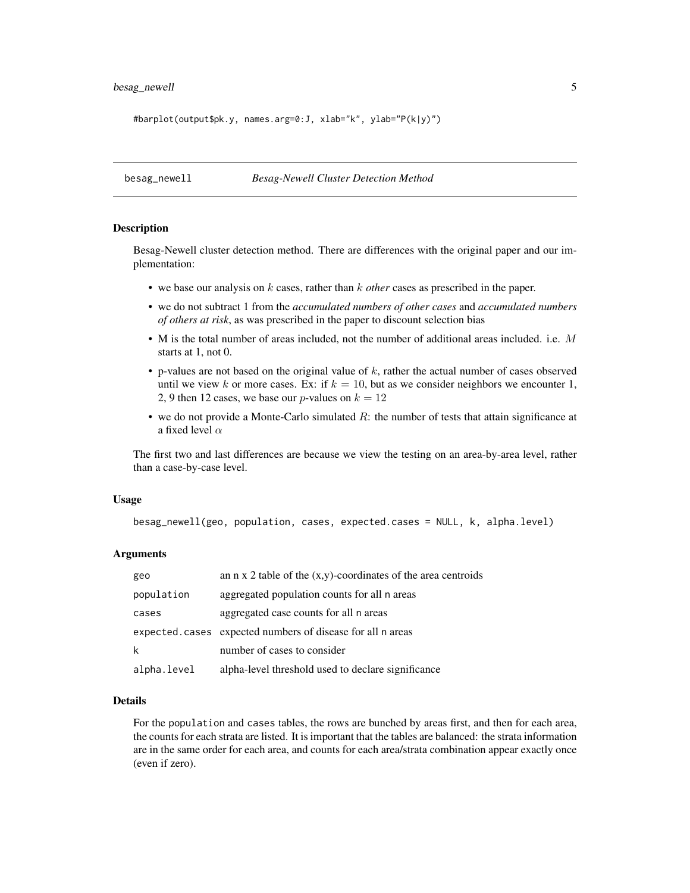# <span id="page-4-0"></span>besag\_newell 5

#barplot(output\$pk.y, names.arg=0:J, xlab="k", ylab="P(k|y)")

besag\_newell *Besag-Newell Cluster Detection Method*

#### Description

Besag-Newell cluster detection method. There are differences with the original paper and our implementation:

- we base our analysis on k cases, rather than k *other* cases as prescribed in the paper.
- we do not subtract 1 from the *accumulated numbers of other cases* and *accumulated numbers of others at risk*, as was prescribed in the paper to discount selection bias
- M is the total number of areas included, not the number of additional areas included. i.e. M starts at 1, not 0.
- $\bullet$  p-values are not based on the original value of  $k$ , rather the actual number of cases observed until we view k or more cases. Ex: if  $k = 10$ , but as we consider neighbors we encounter 1, 2, 9 then 12 cases, we base our *p*-values on  $k = 12$
- we do not provide a Monte-Carlo simulated  $R$ : the number of tests that attain significance at a fixed level  $\alpha$

The first two and last differences are because we view the testing on an area-by-area level, rather than a case-by-case level.

#### Usage

```
besag_newell(geo, population, cases, expected.cases = NULL, k, alpha.level)
```
#### Arguments

| geo         | an n x 2 table of the $(x,y)$ -coordinates of the area centroids |
|-------------|------------------------------------------------------------------|
| population  | aggregated population counts for all n areas                     |
| cases       | aggregated case counts for all n areas                           |
|             | expected.cases expected numbers of disease for all n areas       |
| k           | number of cases to consider                                      |
| alpha.level | alpha-level threshold used to declare significance               |

#### Details

For the population and cases tables, the rows are bunched by areas first, and then for each area, the counts for each strata are listed. It is important that the tables are balanced: the strata information are in the same order for each area, and counts for each area/strata combination appear exactly once (even if zero).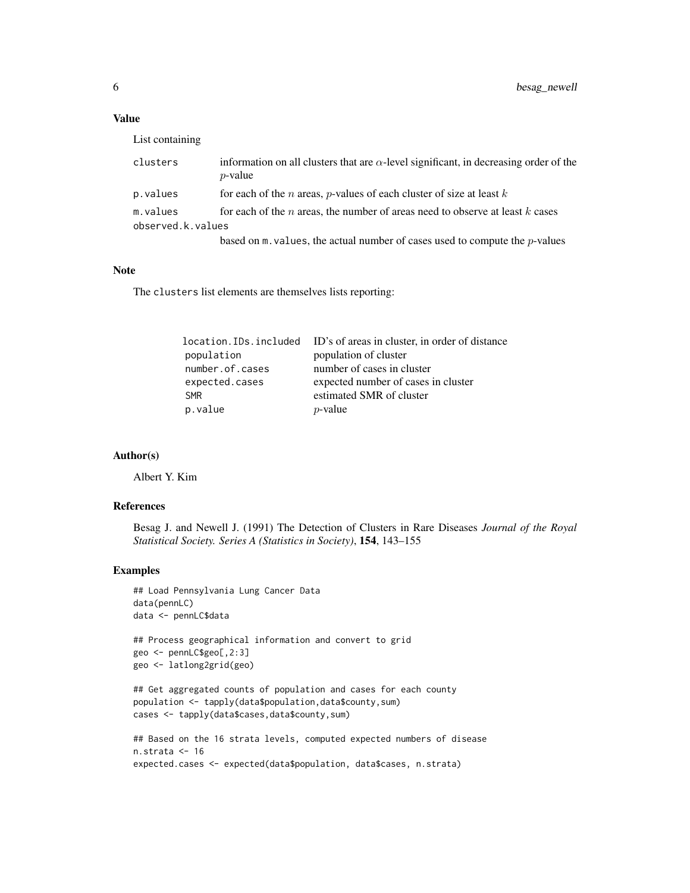# Value

| List containing |  |
|-----------------|--|
|                 |  |
|                 |  |

| clusters          | information on all clusters that are $\alpha$ -level significant, in decreasing order of the<br>$p$ -value |
|-------------------|------------------------------------------------------------------------------------------------------------|
| p.values          | for each of the <i>n</i> areas, <i>p</i> -values of each cluster of size at least $k$                      |
| m.values          | for each of the n areas, the number of areas need to observe at least $k$ cases                            |
| observed.k.values |                                                                                                            |
|                   | based on $m$ . values, the actual number of cases used to compute the $p$ -values                          |

# Note

The clusters list elements are themselves lists reporting:

| location. IDs. included ID's of areas in cluster, in order of distance |
|------------------------------------------------------------------------|
| population of cluster                                                  |
| number of cases in cluster                                             |
| expected number of cases in cluster                                    |
| estimated SMR of cluster                                               |
| $p$ -value                                                             |
|                                                                        |

#### Author(s)

Albert Y. Kim

#### References

Besag J. and Newell J. (1991) The Detection of Clusters in Rare Diseases *Journal of the Royal Statistical Society. Series A (Statistics in Society)*, 154, 143–155

```
## Load Pennsylvania Lung Cancer Data
data(pennLC)
data <- pennLC$data
## Process geographical information and convert to grid
geo <- pennLC$geo[,2:3]
geo <- latlong2grid(geo)
## Get aggregated counts of population and cases for each county
population <- tapply(data$population,data$county,sum)
cases <- tapply(data$cases,data$county,sum)
## Based on the 16 strata levels, computed expected numbers of disease
n.strata <- 16
```

```
expected.cases <- expected(data$population, data$cases, n.strata)
```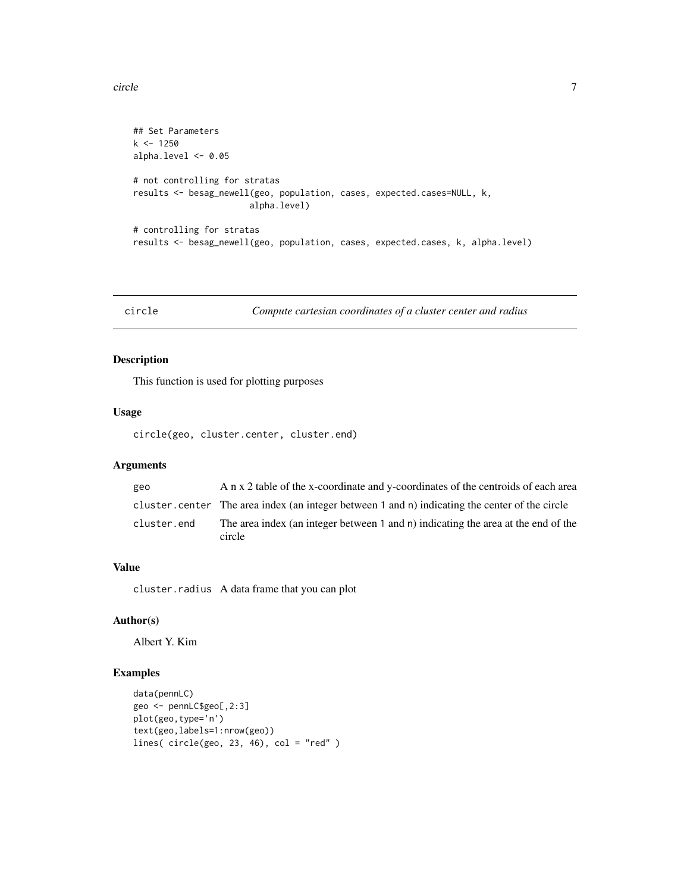<span id="page-6-0"></span>circle **7** 

```
## Set Parameters
k <- 1250
alpha.level <- 0.05
# not controlling for stratas
results <- besag_newell(geo, population, cases, expected.cases=NULL, k,
                       alpha.level)
# controlling for stratas
results <- besag_newell(geo, population, cases, expected.cases, k, alpha.level)
```
circle *Compute cartesian coordinates of a cluster center and radius*

# Description

This function is used for plotting purposes

# Usage

circle(geo, cluster.center, cluster.end)

# Arguments

| geo         | A n x 2 table of the x-coordinate and y-coordinates of the centroids of each area               |
|-------------|-------------------------------------------------------------------------------------------------|
|             | cluster, center The area index (an integer between 1 and n) indicating the center of the circle |
| cluster.end | The area index (an integer between 1 and n) indicating the area at the end of the<br>circle     |

#### Value

cluster.radius A data frame that you can plot

# Author(s)

Albert Y. Kim

```
data(pennLC)
geo <- pennLC$geo[,2:3]
plot(geo,type='n')
text(geo,labels=1:nrow(geo))
lines( circle(geo, 23, 46), col = "red" )
```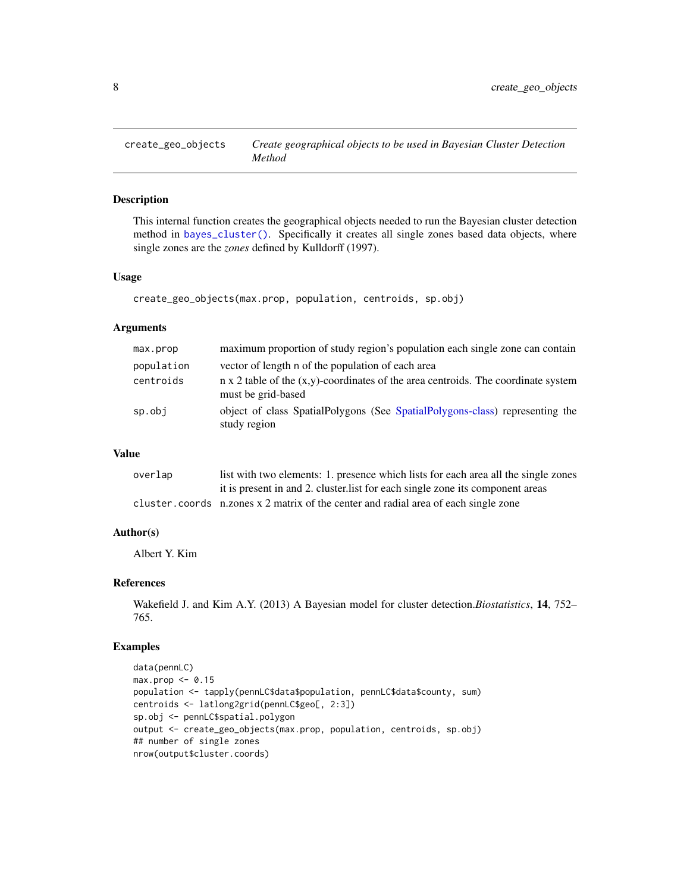<span id="page-7-1"></span><span id="page-7-0"></span>

This internal function creates the geographical objects needed to run the Bayesian cluster detection method in [bayes\\_cluster\(\)](#page-1-1). Specifically it creates all single zones based data objects, where single zones are the *zones* defined by Kulldorff (1997).

#### Usage

```
create_geo_objects(max.prop, population, centroids, sp.obj)
```
# Arguments

| max.prop   | maximum proportion of study region's population each single zone can contain                                      |
|------------|-------------------------------------------------------------------------------------------------------------------|
| population | vector of length n of the population of each area                                                                 |
| centroids  | $n \times 2$ table of the $(x,y)$ -coordinates of the area centroids. The coordinate system<br>must be grid-based |
| sp.obj     | object of class SpatialPolygons (See SpatialPolygons-class) representing the<br>study region                      |

#### Value

| overlap | list with two elements: 1. presence which lists for each area all the single zones  |
|---------|-------------------------------------------------------------------------------------|
|         | it is present in and 2. cluster list for each single zone its component areas       |
|         | cluster.coords n.zones x 2 matrix of the center and radial area of each single zone |

# Author(s)

Albert Y. Kim

# References

Wakefield J. and Kim A.Y. (2013) A Bayesian model for cluster detection.*Biostatistics*, 14, 752– 765.

```
data(pennLC)
max.prop <- 0.15
population <- tapply(pennLC$data$population, pennLC$data$county, sum)
centroids <- latlong2grid(pennLC$geo[, 2:3])
sp.obj <- pennLC$spatial.polygon
output <- create_geo_objects(max.prop, population, centroids, sp.obj)
## number of single zones
nrow(output$cluster.coords)
```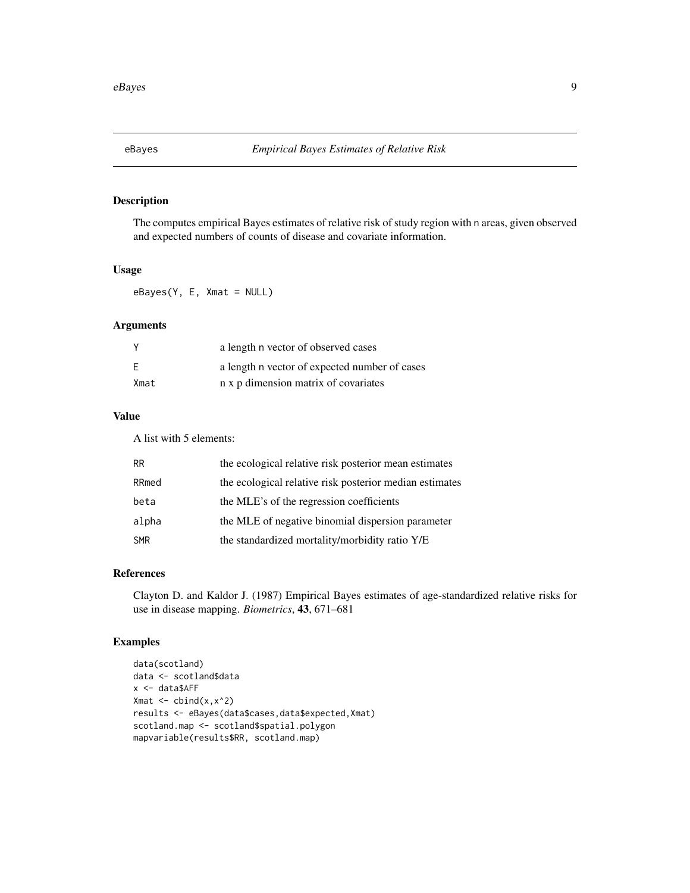<span id="page-8-1"></span><span id="page-8-0"></span>

The computes empirical Bayes estimates of relative risk of study region with n areas, given observed and expected numbers of counts of disease and covariate information.

# Usage

eBayes(Y, E, Xmat = NULL)

# Arguments

|      | a length n vector of observed cases           |
|------|-----------------------------------------------|
|      | a length n vector of expected number of cases |
| Xmat | n x p dimension matrix of covariates          |

# Value

A list with 5 elements:

| RR    | the ecological relative risk posterior mean estimates   |
|-------|---------------------------------------------------------|
| RRmed | the ecological relative risk posterior median estimates |
| beta  | the MLE's of the regression coefficients                |
| alpha | the MLE of negative binomial dispersion parameter       |
| SMR   | the standardized mortality/morbidity ratio Y/E          |

# References

Clayton D. and Kaldor J. (1987) Empirical Bayes estimates of age-standardized relative risks for use in disease mapping. *Biometrics*, 43, 671–681

```
data(scotland)
data <- scotland$data
x <- data$AFF
Xmat \leftarrow cbind(x, x^2)results <- eBayes(data$cases,data$expected,Xmat)
scotland.map <- scotland$spatial.polygon
mapvariable(results$RR, scotland.map)
```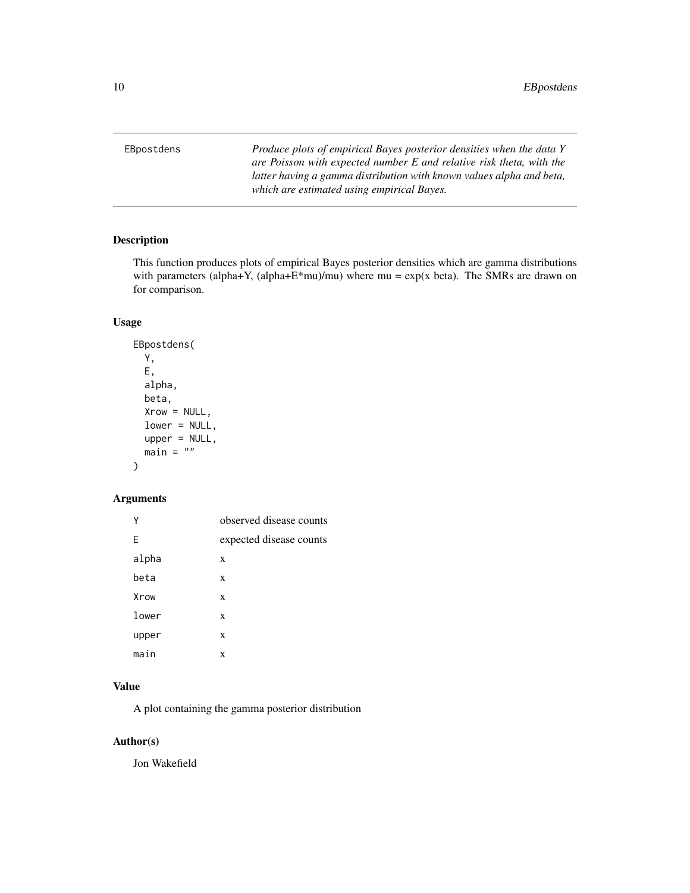<span id="page-9-0"></span>EBpostdens *Produce plots of empirical Bayes posterior densities when the data Y are Poisson with expected number E and relative risk theta, with the latter having a gamma distribution with known values alpha and beta, which are estimated using empirical Bayes.*

# Description

This function produces plots of empirical Bayes posterior densities which are gamma distributions with parameters (alpha+Y, (alpha+E\*mu)/mu) where  $mu = \exp(x \text{ beta})$ . The SMRs are drawn on for comparison.

# Usage

```
EBpostdens(
  Y,
 E,
  alpha,
 beta,
  Xrow = NULL,
  lower = NULL,upper = NULL,
  main = "")
```
# Arguments

| Υ     | observed disease counts |
|-------|-------------------------|
| F     | expected disease counts |
| alpha | X                       |
| beta  | X                       |
| Xrow  | X                       |
| lower | X                       |
| upper | X                       |
| main  | X                       |

# Value

A plot containing the gamma posterior distribution

# Author(s)

Jon Wakefield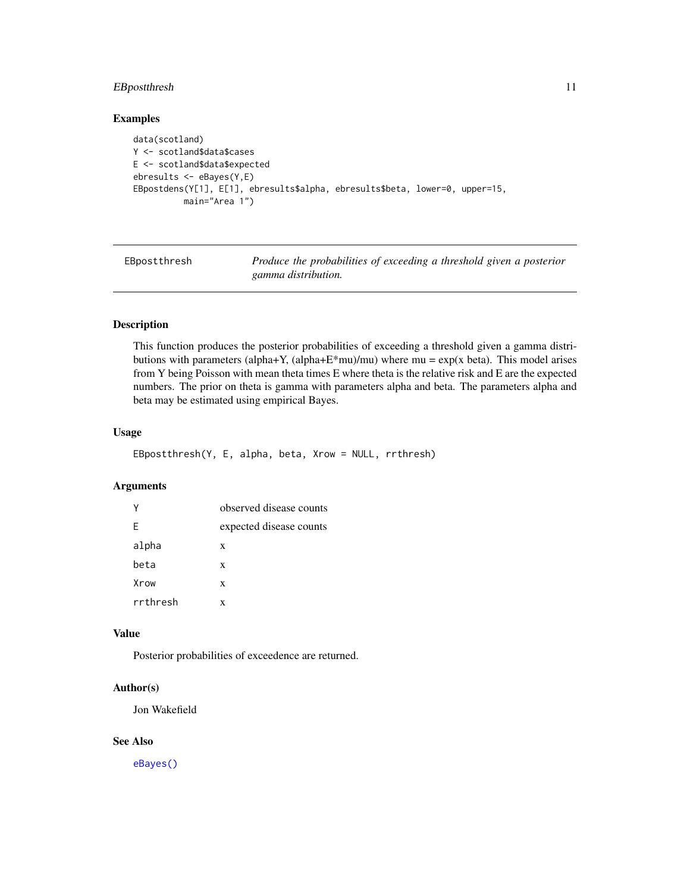# <span id="page-10-0"></span>EBpostthresh 11

#### Examples

```
data(scotland)
Y <- scotland$data$cases
E <- scotland$data$expected
ebresults <- eBayes(Y,E)
EBpostdens(Y[1], E[1], ebresults$alpha, ebresults$beta, lower=0, upper=15,
          main="Area 1")
```
EBpostthresh *Produce the probabilities of exceeding a threshold given a posterior gamma distribution.*

# Description

This function produces the posterior probabilities of exceeding a threshold given a gamma distributions with parameters (alpha+Y, (alpha+E\*mu)/mu) where  $mu = \exp(x \text{ beta})$ . This model arises from Y being Poisson with mean theta times E where theta is the relative risk and E are the expected numbers. The prior on theta is gamma with parameters alpha and beta. The parameters alpha and beta may be estimated using empirical Bayes.

#### Usage

```
EBpostthresh(Y, E, alpha, beta, Xrow = NULL, rrthresh)
```
# Arguments

|          | observed disease counts |
|----------|-------------------------|
| F        | expected disease counts |
| alpha    | X                       |
| beta     | X                       |
| Xrow     | X                       |
| rrthresh | x                       |

#### Value

Posterior probabilities of exceedence are returned.

# Author(s)

Jon Wakefield

#### See Also

[eBayes\(\)](#page-8-1)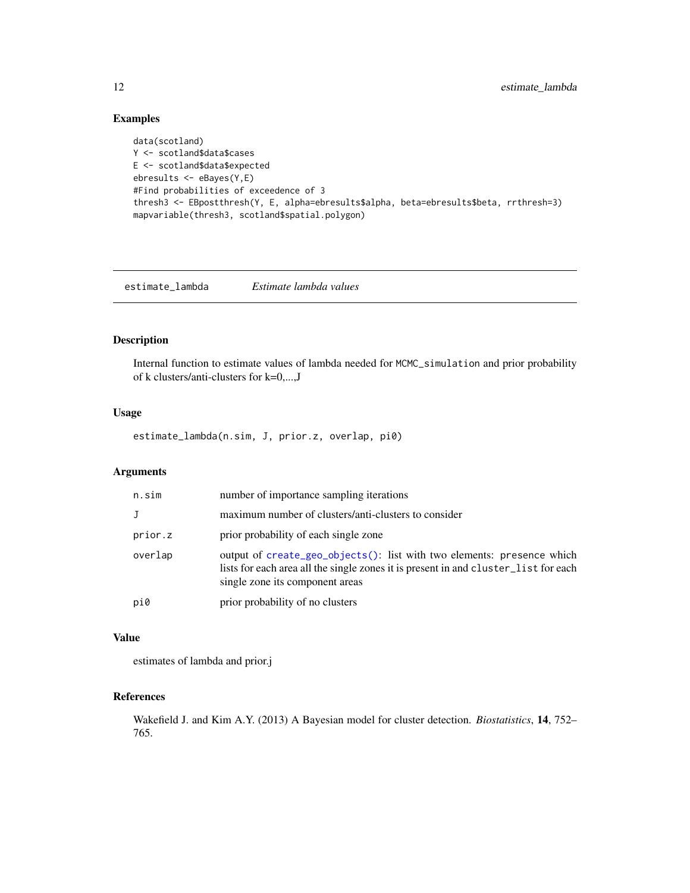# Examples

```
data(scotland)
Y <- scotland$data$cases
E <- scotland$data$expected
ebresults <- eBayes(Y,E)
#Find probabilities of exceedence of 3
thresh3 <- EBpostthresh(Y, E, alpha=ebresults$alpha, beta=ebresults$beta, rrthresh=3)
mapvariable(thresh3, scotland$spatial.polygon)
```
estimate\_lambda *Estimate lambda values*

# Description

Internal function to estimate values of lambda needed for MCMC\_simulation and prior probability of k clusters/anti-clusters for k=0,...,J

# Usage

estimate\_lambda(n.sim, J, prior.z, overlap, pi0)

# Arguments

| n.sim        | number of importance sampling iterations                                                                                                                                                         |
|--------------|--------------------------------------------------------------------------------------------------------------------------------------------------------------------------------------------------|
| $\mathbf{J}$ | maximum number of clusters/anti-clusters to consider                                                                                                                                             |
| prior.z      | prior probability of each single zone                                                                                                                                                            |
| overlap      | output of create_geo_objects(): list with two elements: presence which<br>lists for each area all the single zones it is present in and cluster_list for each<br>single zone its component areas |
| pi0          | prior probability of no clusters                                                                                                                                                                 |

#### Value

estimates of lambda and prior.j

# References

Wakefield J. and Kim A.Y. (2013) A Bayesian model for cluster detection. *Biostatistics*, 14, 752– 765.

<span id="page-11-0"></span>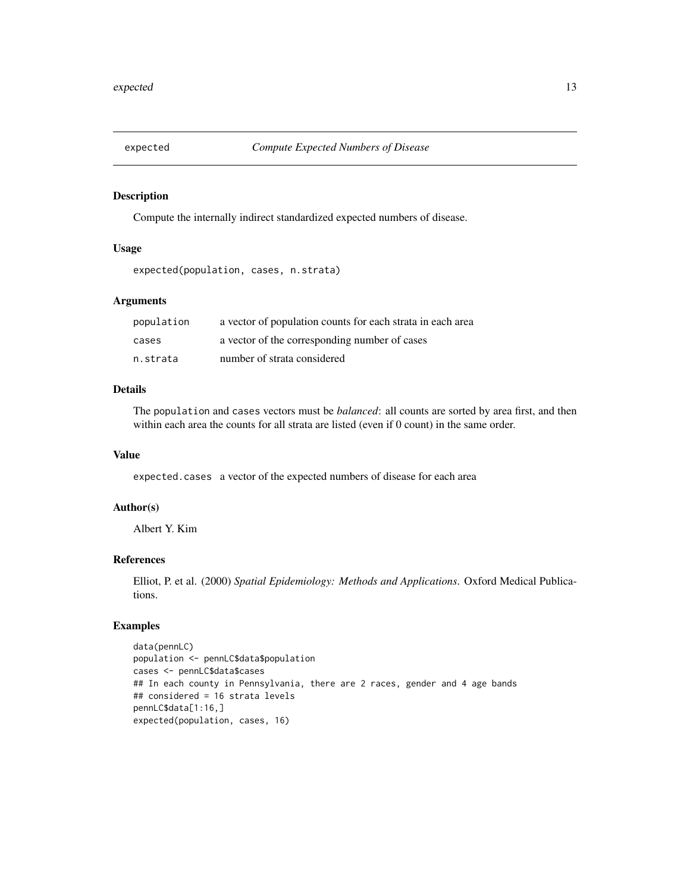<span id="page-12-0"></span>

Compute the internally indirect standardized expected numbers of disease.

# Usage

```
expected(population, cases, n.strata)
```
#### Arguments

| population | a vector of population counts for each strata in each area |
|------------|------------------------------------------------------------|
| cases      | a vector of the corresponding number of cases              |
| n.strata   | number of strata considered                                |

# Details

The population and cases vectors must be *balanced*: all counts are sorted by area first, and then within each area the counts for all strata are listed (even if 0 count) in the same order.

#### Value

expected.cases a vector of the expected numbers of disease for each area

# Author(s)

Albert Y. Kim

# References

Elliot, P. et al. (2000) *Spatial Epidemiology: Methods and Applications*. Oxford Medical Publications.

# Examples

data(pennLC) population <- pennLC\$data\$population cases <- pennLC\$data\$cases ## In each county in Pennsylvania, there are 2 races, gender and 4 age bands ## considered = 16 strata levels pennLC\$data[1:16,] expected(population, cases, 16)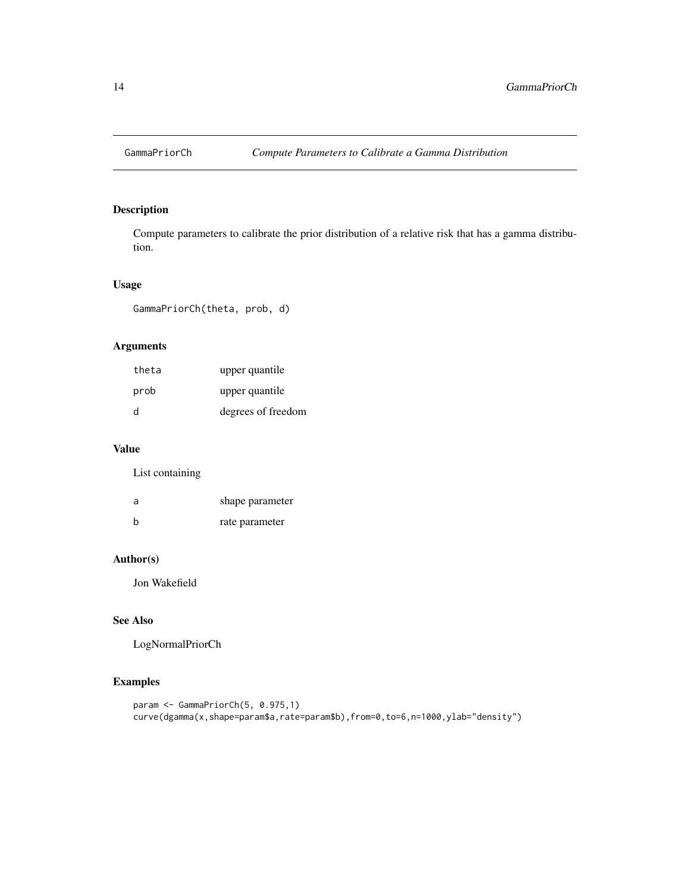<span id="page-13-0"></span>

Compute parameters to calibrate the prior distribution of a relative risk that has a gamma distribution.

# Usage

GammaPriorCh(theta, prob, d)

# Arguments

| theta | upper quantile     |
|-------|--------------------|
| prob  | upper quantile     |
| d     | degrees of freedom |

# Value

List containing

| a | shape parameter |
|---|-----------------|
| b | rate parameter  |

# Author(s)

Jon Wakefield

# See Also

LogNormalPriorCh

```
param <- GammaPriorCh(5, 0.975,1)
curve(dgamma(x,shape=param$a,rate=param$b),from=0,to=6,n=1000,ylab="density")
```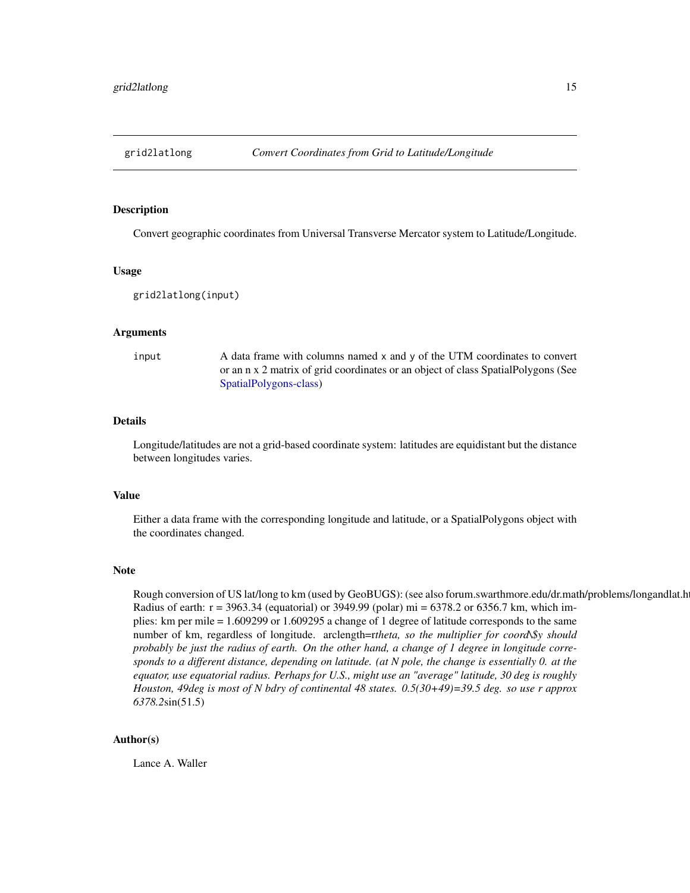<span id="page-14-0"></span>

Convert geographic coordinates from Universal Transverse Mercator system to Latitude/Longitude.

#### Usage

grid2latlong(input)

#### Arguments

input A data frame with columns named x and y of the UTM coordinates to convert or an n x 2 matrix of grid coordinates or an object of class SpatialPolygons (See [SpatialPolygons-class\)](#page-0-0)

# Details

Longitude/latitudes are not a grid-based coordinate system: latitudes are equidistant but the distance between longitudes varies.

#### Value

Either a data frame with the corresponding longitude and latitude, or a SpatialPolygons object with the coordinates changed.

#### Note

Rough conversion of US lat/long to km (used by GeoBUGS): (see also forum.swarthmore.edu/dr.math/problems/longandlat.h Radius of earth: r = 3963.34 (equatorial) or 3949.99 (polar) mi = 6378.2 or 6356.7 km, which implies: km per mile = 1.609299 or 1.609295 a change of 1 degree of latitude corresponds to the same number of km, regardless of longitude. arclength=r*theta, so the multiplier for coord\\$y should probably be just the radius of earth. On the other hand, a change of 1 degree in longitude corresponds to a different distance, depending on latitude. (at N pole, the change is essentially 0. at the equator, use equatorial radius. Perhaps for U.S., might use an "average" latitude, 30 deg is roughly Houston, 49deg is most of N bdry of continental 48 states. 0.5(30+49)=39.5 deg. so use r approx 6378.2*sin(51.5)

#### Author(s)

Lance A. Waller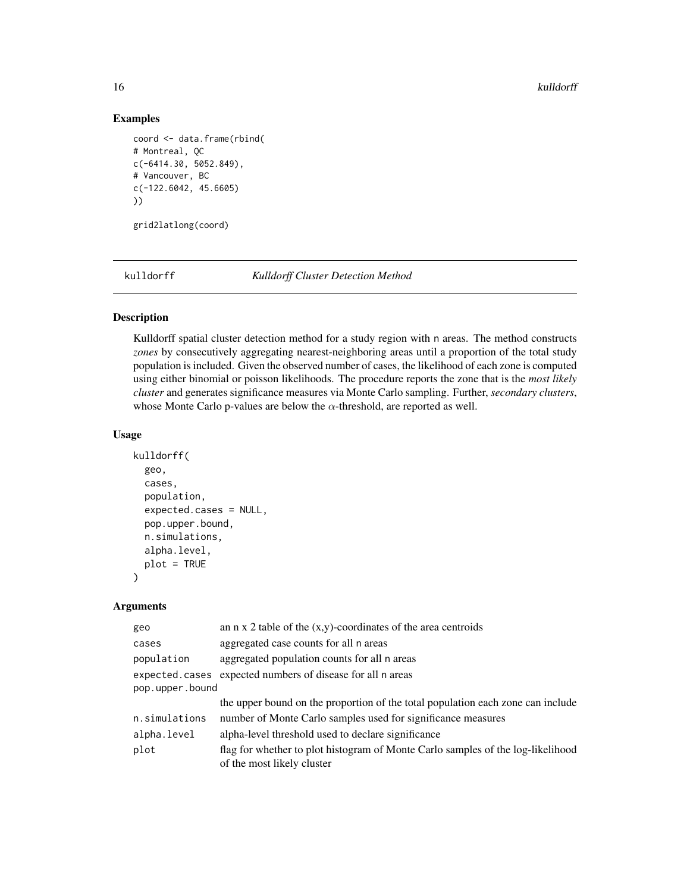16 kulldorff

#### Examples

```
coord <- data.frame(rbind(
# Montreal, QC
c(-6414.30, 5052.849),
# Vancouver, BC
c(-122.6042, 45.6605)
))
```
grid2latlong(coord)

kulldorff *Kulldorff Cluster Detection Method*

# Description

Kulldorff spatial cluster detection method for a study region with n areas. The method constructs *zones* by consecutively aggregating nearest-neighboring areas until a proportion of the total study population is included. Given the observed number of cases, the likelihood of each zone is computed using either binomial or poisson likelihoods. The procedure reports the zone that is the *most likely cluster* and generates significance measures via Monte Carlo sampling. Further, *secondary clusters*, whose Monte Carlo p-values are below the  $\alpha$ -threshold, are reported as well.

# Usage

```
kulldorff(
  geo,
  cases,
  population,
  expected.cases = NULL,
  pop.upper.bound,
  n.simulations,
  alpha.level,
 plot = TRUE
)
```
# Arguments

| geo             | an $n \times 2$ table of the $(x,y)$ -coordinates of the area centroids                                       |
|-----------------|---------------------------------------------------------------------------------------------------------------|
| cases           | aggregated case counts for all n areas                                                                        |
| population      | aggregated population counts for all n areas                                                                  |
|                 | expected.cases expected numbers of disease for all n areas                                                    |
| pop.upper.bound |                                                                                                               |
|                 | the upper bound on the proportion of the total population each zone can include                               |
| n.simulations   | number of Monte Carlo samples used for significance measures                                                  |
| alpha.level     | alpha-level threshold used to declare significance                                                            |
| plot            | flag for whether to plot histogram of Monte Carlo samples of the log-likelihood<br>of the most likely cluster |

<span id="page-15-0"></span>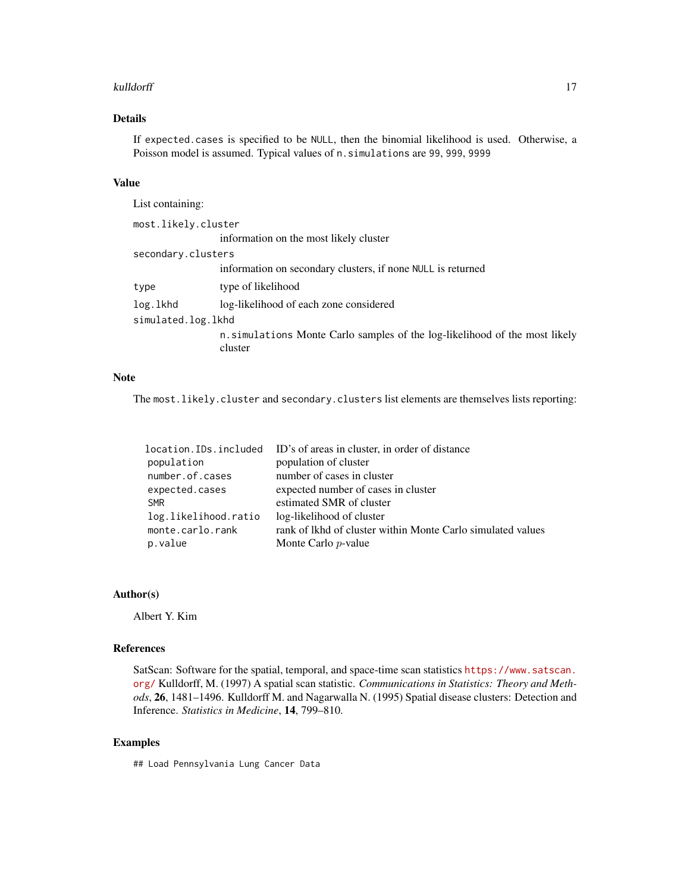#### kulldorff the contract of the contract of the contract of the contract of the contract of the contract of the contract of the contract of the contract of the contract of the contract of the contract of the contract of the

# Details

If expected.cases is specified to be NULL, then the binomial likelihood is used. Otherwise, a Poisson model is assumed. Typical values of n. simulations are 99, 999, 9999

# Value

| List containing:    |                                                                                        |
|---------------------|----------------------------------------------------------------------------------------|
| most.likely.cluster |                                                                                        |
|                     | information on the most likely cluster                                                 |
| secondary.clusters  |                                                                                        |
|                     | information on secondary clusters, if none NULL is returned                            |
| type                | type of likelihood                                                                     |
| log.lkhd            | log-likelihood of each zone considered                                                 |
| simulated.log.lkhd  |                                                                                        |
|                     | n. simulations Monte Carlo samples of the log-likelihood of the most likely<br>cluster |

# Note

The most.likely.cluster and secondary.clusters list elements are themselves lists reporting:

| location.IDs.included | ID's of areas in cluster, in order of distance              |
|-----------------------|-------------------------------------------------------------|
| population            | population of cluster                                       |
| number.of.cases       | number of cases in cluster                                  |
| expected.cases        | expected number of cases in cluster                         |
| <b>SMR</b>            | estimated SMR of cluster                                    |
| log.likelihood.ratio  | log-likelihood of cluster                                   |
| monte.carlo.rank      | rank of lkhd of cluster within Monte Carlo simulated values |
| p.value               | Monte Carlo <i>p</i> -value                                 |

# Author(s)

Albert Y. Kim

#### References

SatScan: Software for the spatial, temporal, and space-time scan statistics [https://www.satscan.](https://www.satscan.org/) [org/](https://www.satscan.org/) Kulldorff, M. (1997) A spatial scan statistic. *Communications in Statistics: Theory and Methods*, 26, 1481–1496. Kulldorff M. and Nagarwalla N. (1995) Spatial disease clusters: Detection and Inference. *Statistics in Medicine*, 14, 799–810.

# Examples

## Load Pennsylvania Lung Cancer Data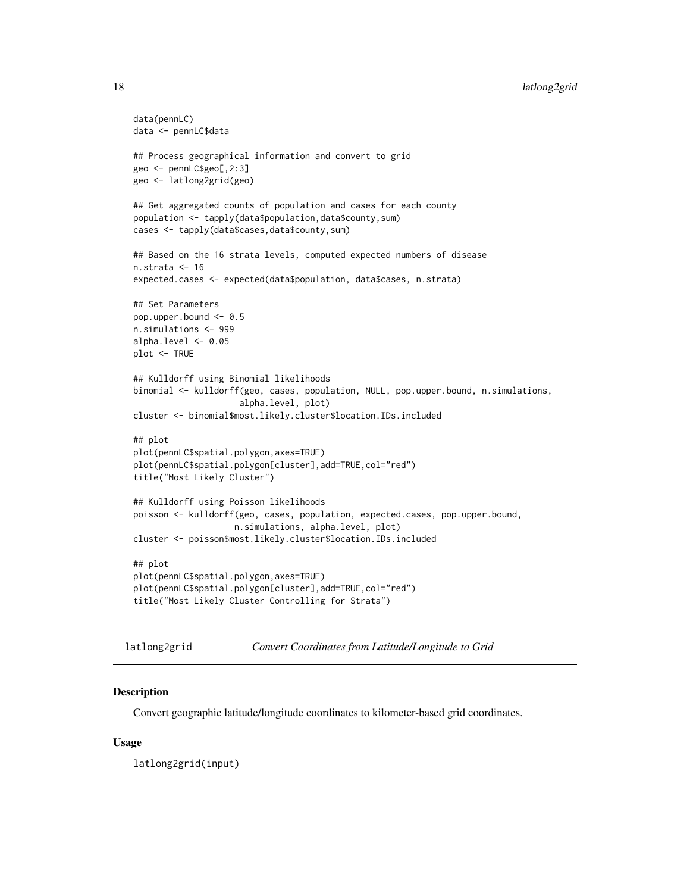```
data(pennLC)
data <- pennLC$data
## Process geographical information and convert to grid
geo <- pennLC$geo[,2:3]
geo <- latlong2grid(geo)
## Get aggregated counts of population and cases for each county
population <- tapply(data$population,data$county,sum)
cases <- tapply(data$cases,data$county,sum)
## Based on the 16 strata levels, computed expected numbers of disease
n.strata <- 16
expected.cases <- expected(data$population, data$cases, n.strata)
## Set Parameters
pop.upper.bound <- 0.5
n.simulations <- 999
alpha.level <- 0.05
plot <- TRUE
## Kulldorff using Binomial likelihoods
binomial <- kulldorff(geo, cases, population, NULL, pop.upper.bound, n.simulations,
                     alpha.level, plot)
cluster <- binomial$most.likely.cluster$location.IDs.included
## plot
plot(pennLC$spatial.polygon,axes=TRUE)
plot(pennLC$spatial.polygon[cluster],add=TRUE,col="red")
title("Most Likely Cluster")
## Kulldorff using Poisson likelihoods
poisson <- kulldorff(geo, cases, population, expected.cases, pop.upper.bound,
                    n.simulations, alpha.level, plot)
cluster <- poisson$most.likely.cluster$location.IDs.included
## plot
plot(pennLC$spatial.polygon,axes=TRUE)
plot(pennLC$spatial.polygon[cluster],add=TRUE,col="red")
title("Most Likely Cluster Controlling for Strata")
```
latlong2grid *Convert Coordinates from Latitude/Longitude to Grid*

#### Description

Convert geographic latitude/longitude coordinates to kilometer-based grid coordinates.

#### Usage

latlong2grid(input)

<span id="page-17-0"></span>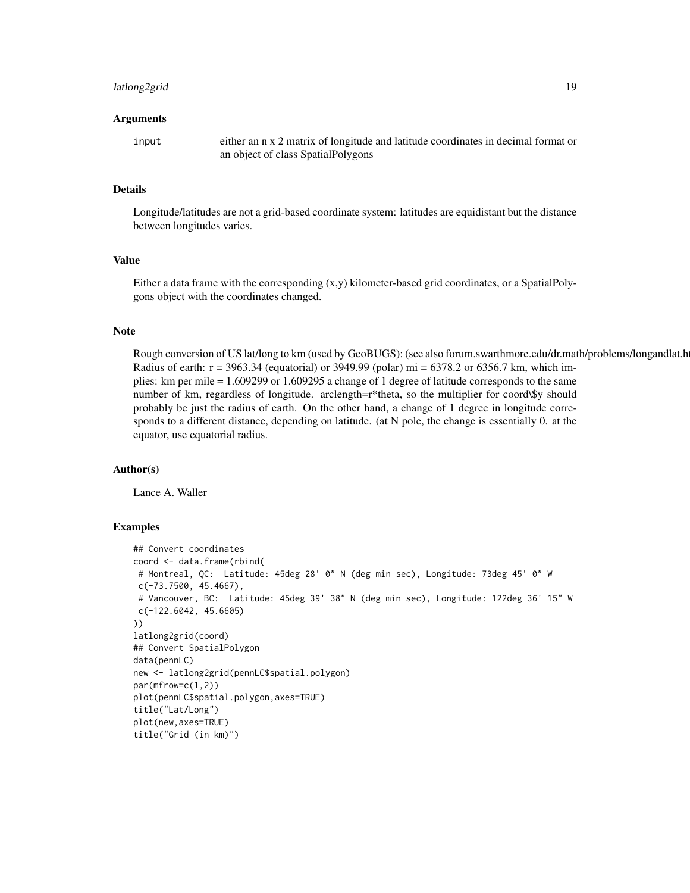# latlong2grid 19

#### Arguments

input either an n x 2 matrix of longitude and latitude coordinates in decimal format or an object of class SpatialPolygons

#### Details

Longitude/latitudes are not a grid-based coordinate system: latitudes are equidistant but the distance between longitudes varies.

# Value

Either a data frame with the corresponding (x,y) kilometer-based grid coordinates, or a SpatialPolygons object with the coordinates changed.

# Note

Rough conversion of US lat/long to km (used by GeoBUGS): (see also forum.swarthmore.edu/dr.math/problems/longandlat.h Radius of earth:  $r = 3963.34$  (equatorial) or 3949.99 (polar) mi = 6378.2 or 6356.7 km, which implies: km per mile = 1.609299 or 1.609295 a change of 1 degree of latitude corresponds to the same number of km, regardless of longitude. arclength=r\*theta, so the multiplier for coord\\$y should probably be just the radius of earth. On the other hand, a change of 1 degree in longitude corresponds to a different distance, depending on latitude. (at N pole, the change is essentially 0. at the equator, use equatorial radius.

#### Author(s)

Lance A. Waller

```
## Convert coordinates
coord <- data.frame(rbind(
# Montreal, QC: Latitude: 45deg 28' 0" N (deg min sec), Longitude: 73deg 45' 0" W
c(-73.7500, 45.4667),
# Vancouver, BC: Latitude: 45deg 39' 38" N (deg min sec), Longitude: 122deg 36' 15" W
c(-122.6042, 45.6605)
))
latlong2grid(coord)
## Convert SpatialPolygon
data(pennLC)
new <- latlong2grid(pennLC$spatial.polygon)
par(mfrow=c(1,2))
plot(pennLC$spatial.polygon,axes=TRUE)
title("Lat/Long")
plot(new,axes=TRUE)
title("Grid (in km)")
```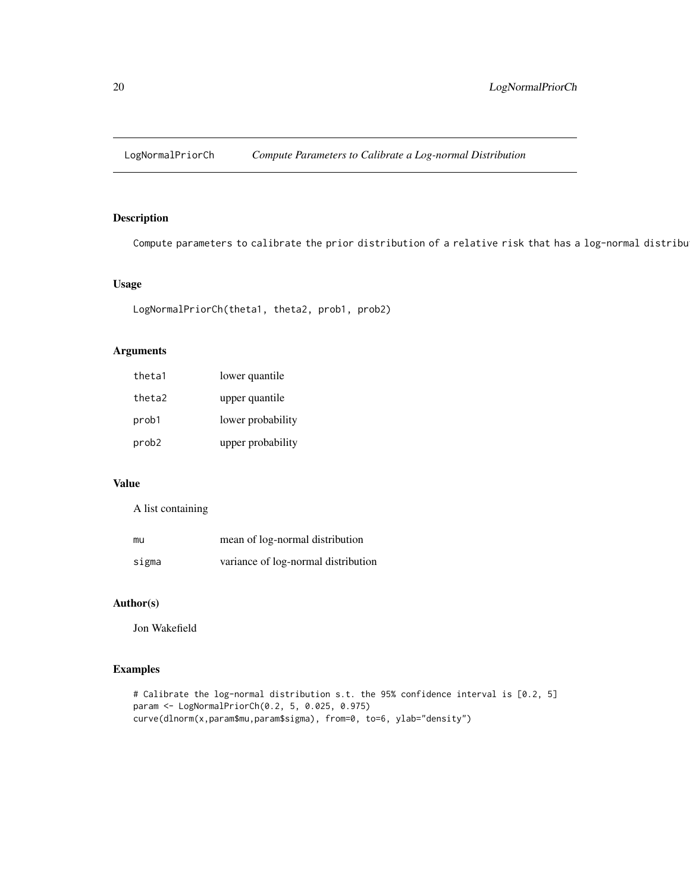<span id="page-19-0"></span>

Compute parameters to calibrate the prior distribution of a relative risk that has a log-normal distribu

# Usage

```
LogNormalPriorCh(theta1, theta2, prob1, prob2)
```
# Arguments

| theta1 | lower quantile    |
|--------|-------------------|
| theta2 | upper quantile    |
| prob1  | lower probability |
| prob2  | upper probability |

# Value

A list containing

| mu    | mean of log-normal distribution     |
|-------|-------------------------------------|
| sigma | variance of log-normal distribution |

# Author(s)

Jon Wakefield

# Examples

# Calibrate the log-normal distribution s.t. the 95% confidence interval is [0.2, 5] param <- LogNormalPriorCh(0.2, 5, 0.025, 0.975) curve(dlnorm(x,param\$mu,param\$sigma), from=0, to=6, ylab="density")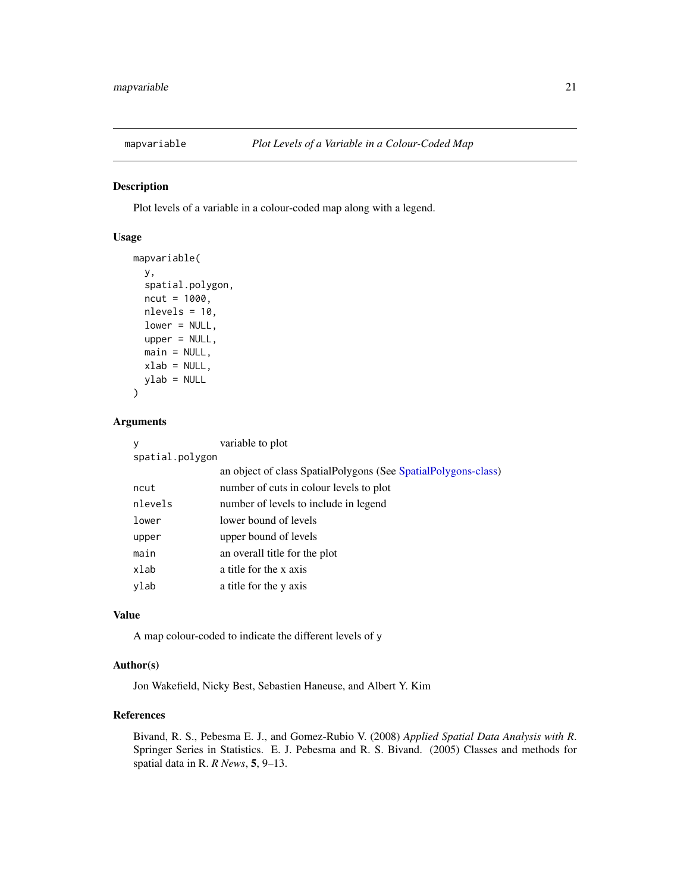<span id="page-20-0"></span>

Plot levels of a variable in a colour-coded map along with a legend.

# Usage

```
mapvariable(
 y,
  spatial.polygon,
  ncut = 1000,nlevels = 10,
  lower = NULL,
  upper = NULL,main = NULL,
 xlab = NULL,
  ylab = NULL
)
```
#### Arguments

| V               | variable to plot                                               |
|-----------------|----------------------------------------------------------------|
| spatial.polygon |                                                                |
|                 | an object of class SpatialPolygons (See SpatialPolygons-class) |
| ncut            | number of cuts in colour levels to plot                        |
| nlevels         | number of levels to include in legend                          |
| lower           | lower bound of levels                                          |
| upper           | upper bound of levels                                          |
| main            | an overall title for the plot                                  |
| xlab            | a title for the x axis                                         |
| ylab            | a title for the y axis                                         |

# Value

A map colour-coded to indicate the different levels of y

# Author(s)

Jon Wakefield, Nicky Best, Sebastien Haneuse, and Albert Y. Kim

# References

Bivand, R. S., Pebesma E. J., and Gomez-Rubio V. (2008) *Applied Spatial Data Analysis with R*. Springer Series in Statistics. E. J. Pebesma and R. S. Bivand. (2005) Classes and methods for spatial data in R. *R News*, 5, 9–13.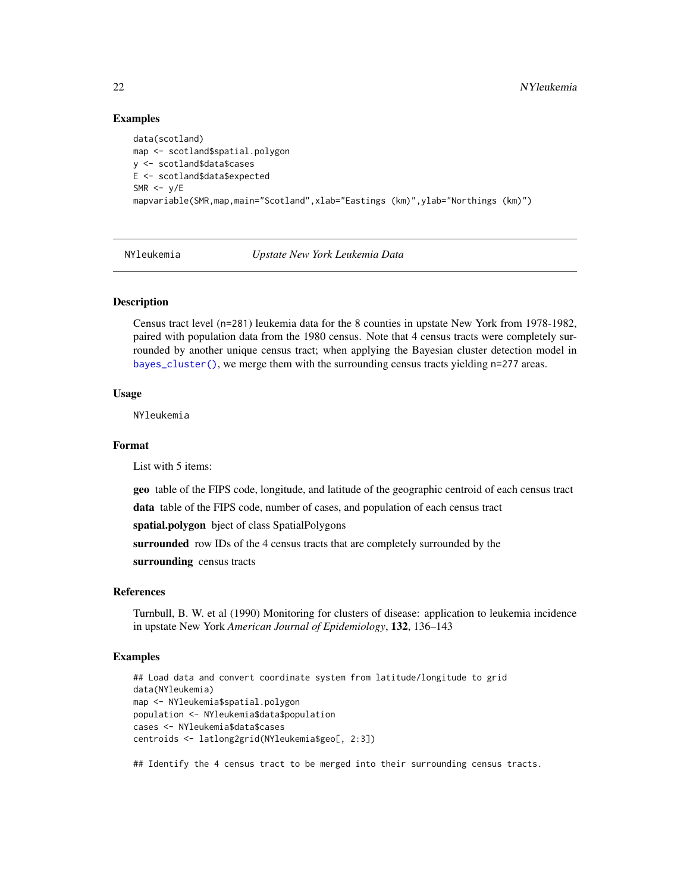# Examples

```
data(scotland)
map <- scotland$spatial.polygon
y <- scotland$data$cases
E <- scotland$data$expected
SMR <- v/Emapvariable(SMR, map, main="Scotland", xlab="Eastings (km)", ylab="Northings (km)")
```
NYleukemia *Upstate New York Leukemia Data*

#### Description

Census tract level (n=281) leukemia data for the 8 counties in upstate New York from 1978-1982, paired with population data from the 1980 census. Note that 4 census tracts were completely surrounded by another unique census tract; when applying the Bayesian cluster detection model in [bayes\\_cluster\(\)](#page-1-1), we merge them with the surrounding census tracts yielding n=277 areas.

#### Usage

NYleukemia

# Format

List with 5 items:

geo table of the FIPS code, longitude, and latitude of the geographic centroid of each census tract

data table of the FIPS code, number of cases, and population of each census tract

spatial.polygon bject of class SpatialPolygons

surrounded row IDs of the 4 census tracts that are completely surrounded by the

surrounding census tracts

# References

Turnbull, B. W. et al (1990) Monitoring for clusters of disease: application to leukemia incidence in upstate New York *American Journal of Epidemiology*, 132, 136–143

# Examples

```
## Load data and convert coordinate system from latitude/longitude to grid
data(NYleukemia)
map <- NYleukemia$spatial.polygon
population <- NYleukemia$data$population
cases <- NYleukemia$data$cases
centroids <- latlong2grid(NYleukemia$geo[, 2:3])
```
## Identify the 4 census tract to be merged into their surrounding census tracts.

<span id="page-21-0"></span>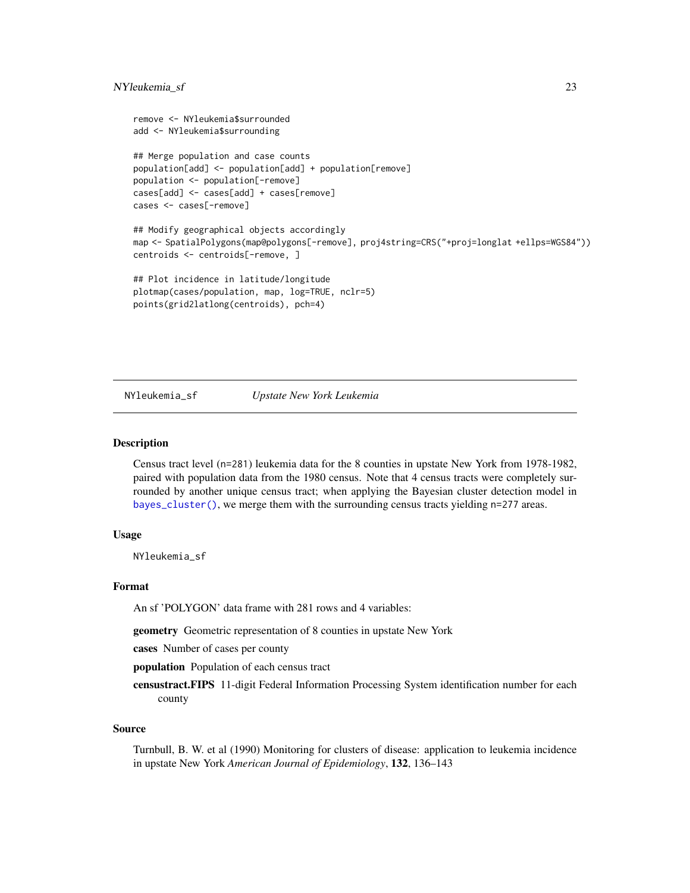```
remove <- NYleukemia$surrounded
add <- NYleukemia$surrounding
## Merge population and case counts
population[add] <- population[add] + population[remove]
population <- population[-remove]
cases[add] <- cases[add] + cases[remove]
cases <- cases[-remove]
## Modify geographical objects accordingly
map <- SpatialPolygons(map@polygons[-remove], proj4string=CRS("+proj=longlat +ellps=WGS84"))
centroids <- centroids[-remove, ]
## Plot incidence in latitude/longitude
plotmap(cases/population, map, log=TRUE, nclr=5)
```

```
points(grid2latlong(centroids), pch=4)
```
NYleukemia\_sf *Upstate New York Leukemia*

#### **Description**

Census tract level (n=281) leukemia data for the 8 counties in upstate New York from 1978-1982, paired with population data from the 1980 census. Note that 4 census tracts were completely surrounded by another unique census tract; when applying the Bayesian cluster detection model in [bayes\\_cluster\(\)](#page-1-1), we merge them with the surrounding census tracts yielding n=277 areas.

#### Usage

NYleukemia\_sf

#### Format

An sf 'POLYGON' data frame with 281 rows and 4 variables:

geometry Geometric representation of 8 counties in upstate New York

cases Number of cases per county

population Population of each census tract

censustract.FIPS 11-digit Federal Information Processing System identification number for each county

#### Source

Turnbull, B. W. et al (1990) Monitoring for clusters of disease: application to leukemia incidence in upstate New York *American Journal of Epidemiology*, 132, 136–143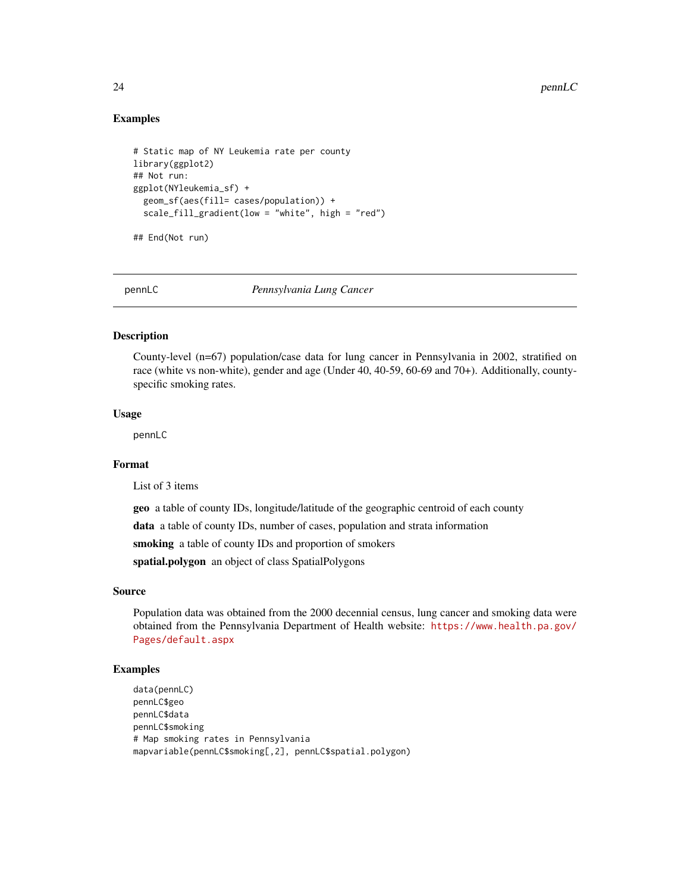# Examples

```
# Static map of NY Leukemia rate per county
library(ggplot2)
## Not run:
ggplot(NYleukemia_sf) +
 geom_sf(aes(fill= cases/population)) +
 scale_fill_gradient(low = "white", high = "red")
```
## End(Not run)

pennLC *Pennsylvania Lung Cancer*

#### Description

County-level (n=67) population/case data for lung cancer in Pennsylvania in 2002, stratified on race (white vs non-white), gender and age (Under 40, 40-59, 60-69 and 70+). Additionally, countyspecific smoking rates.

#### Usage

pennLC

# Format

List of 3 items

geo a table of county IDs, longitude/latitude of the geographic centroid of each county

data a table of county IDs, number of cases, population and strata information

smoking a table of county IDs and proportion of smokers

spatial.polygon an object of class SpatialPolygons

#### Source

Population data was obtained from the 2000 decennial census, lung cancer and smoking data were obtained from the Pennsylvania Department of Health website: [https://www.health.pa.gov/](https://www.health.pa.gov/Pages/default.aspx) [Pages/default.aspx](https://www.health.pa.gov/Pages/default.aspx)

# Examples

data(pennLC) pennLC\$geo pennLC\$data pennLC\$smoking # Map smoking rates in Pennsylvania mapvariable(pennLC\$smoking[,2], pennLC\$spatial.polygon)

<span id="page-23-0"></span>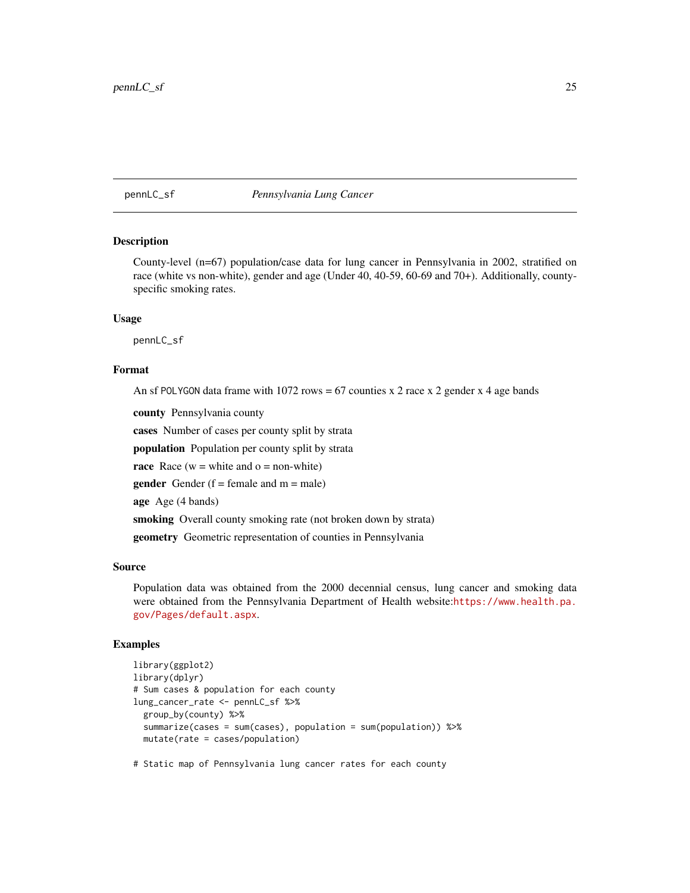#### <span id="page-24-0"></span>pennLC\_sf *Pennsylvania Lung Cancer*

#### Description

County-level (n=67) population/case data for lung cancer in Pennsylvania in 2002, stratified on race (white vs non-white), gender and age (Under 40, 40-59, 60-69 and 70+). Additionally, countyspecific smoking rates.

#### Usage

pennLC\_sf

# Format

An sf POLYGON data frame with 1072 rows =  $67$  counties x 2 race x 2 gender x 4 age bands

county Pennsylvania county

cases Number of cases per county split by strata

population Population per county split by strata

race Race ( $w =$  white and  $o =$  non-white)

**gender** Gender ( $f =$  female and  $m =$  male)

age Age (4 bands)

smoking Overall county smoking rate (not broken down by strata)

geometry Geometric representation of counties in Pennsylvania

#### Source

Population data was obtained from the 2000 decennial census, lung cancer and smoking data were obtained from the Pennsylvania Department of Health website:[https://www.health.pa.](https://www.health.pa.gov/Pages/default.aspx) [gov/Pages/default.aspx](https://www.health.pa.gov/Pages/default.aspx).

#### Examples

```
library(ggplot2)
library(dplyr)
# Sum cases & population for each county
lung_cancer_rate <- pennLC_sf %>%
 group_by(county) %>%
 summarize(cases = sum(cases), population = sum(population)) %>%
 mutate(rate = cases/population)
```
# Static map of Pennsylvania lung cancer rates for each county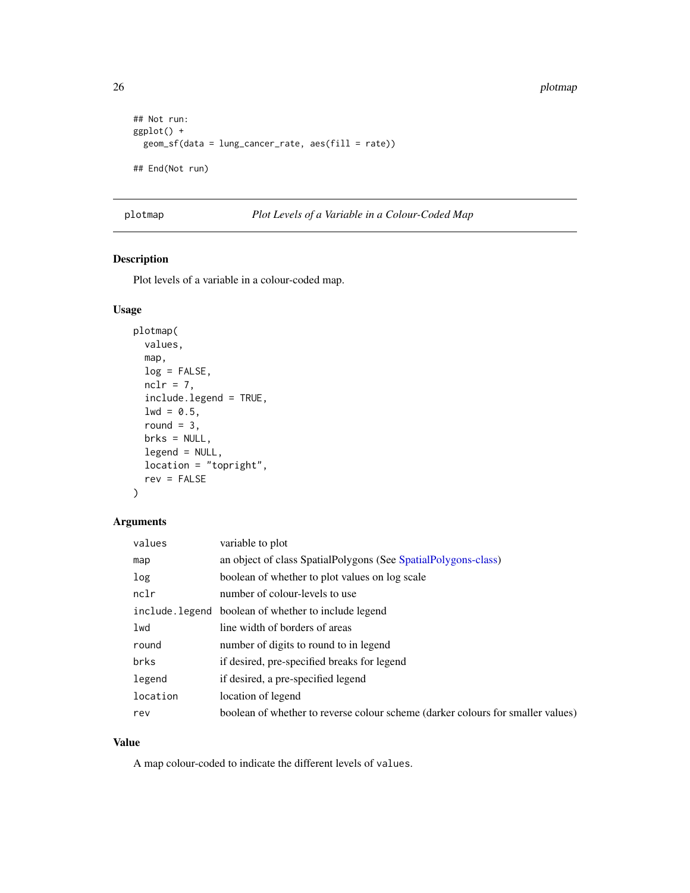```
## Not run:
ggplot() +
  geom_sf(data = lung_cancer_rate, aes(fill = rate))
## End(Not run)
```

```
plotmap Plot Levels of a Variable in a Colour-Coded Map
```
Plot levels of a variable in a colour-coded map.

# Usage

```
plotmap(
  values,
  map,
  log = FALSE,
  nclr = 7,
  include.legend = TRUE,
  1wd = 0.5,
  round = 3,
  brks = NULL,
  legend = NULL,
  location = "topright",
  rev = FALSE)
```
# Arguments

| values   | variable to plot                                                                |
|----------|---------------------------------------------------------------------------------|
| map      | an object of class SpatialPolygons (See SpatialPolygons-class)                  |
| log      | boolean of whether to plot values on log scale                                  |
| nclr     | number of colour-levels to use                                                  |
|          | include. legend boolean of whether to include legend                            |
| lwd      | line width of borders of areas                                                  |
| round    | number of digits to round to in legend                                          |
| brks     | if desired, pre-specified breaks for legend                                     |
| legend   | if desired, a pre-specified legend                                              |
| location | location of legend                                                              |
| rev      | boolean of whether to reverse colour scheme (darker colours for smaller values) |

# Value

A map colour-coded to indicate the different levels of values.

<span id="page-25-0"></span>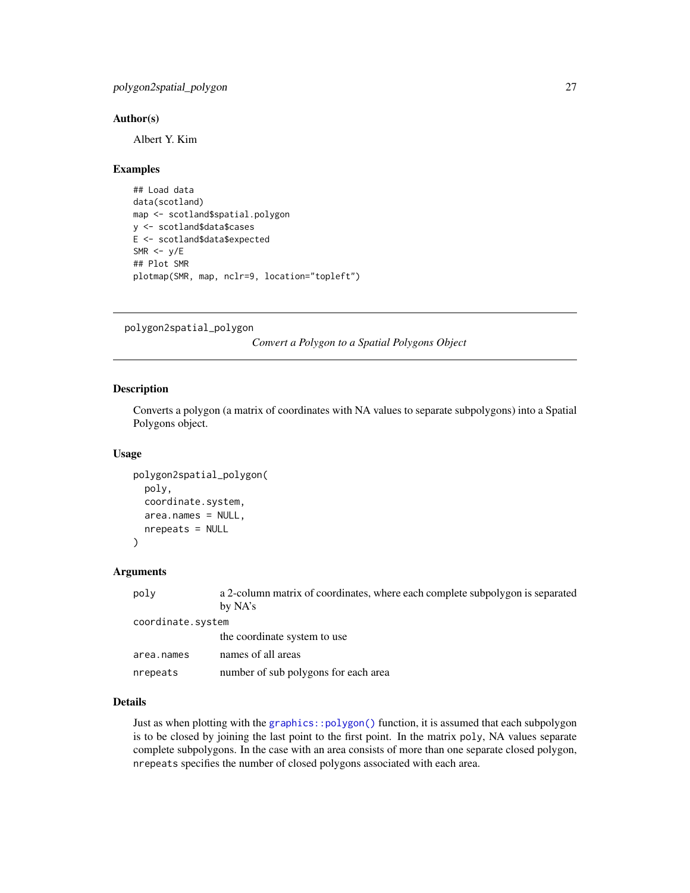# <span id="page-26-0"></span>Author(s)

Albert Y. Kim

#### Examples

```
## Load data
data(scotland)
map <- scotland$spatial.polygon
y <- scotland$data$cases
E <- scotland$data$expected
SMR <- y/E## Plot SMR
plotmap(SMR, map, nclr=9, location="topleft")
```
<span id="page-26-1"></span>polygon2spatial\_polygon

*Convert a Polygon to a Spatial Polygons Object*

# Description

Converts a polygon (a matrix of coordinates with NA values to separate subpolygons) into a Spatial Polygons object.

#### Usage

```
polygon2spatial_polygon(
 poly,
  coordinate.system,
  area.names = NULL,
 nrepeats = NULL
)
```
# Arguments

| poly              | a 2-column matrix of coordinates, where each complete subpolygon is separated |  |
|-------------------|-------------------------------------------------------------------------------|--|
|                   | by NA's                                                                       |  |
| coordinate.system |                                                                               |  |
|                   | the coordinate system to use                                                  |  |
| area.names        | names of all areas                                                            |  |
| nrepeats          | number of sub polygons for each area                                          |  |

# Details

Just as when plotting with the [graphics::polygon\(\)](#page-0-0) function, it is assumed that each subpolygon is to be closed by joining the last point to the first point. In the matrix poly, NA values separate complete subpolygons. In the case with an area consists of more than one separate closed polygon, nrepeats specifies the number of closed polygons associated with each area.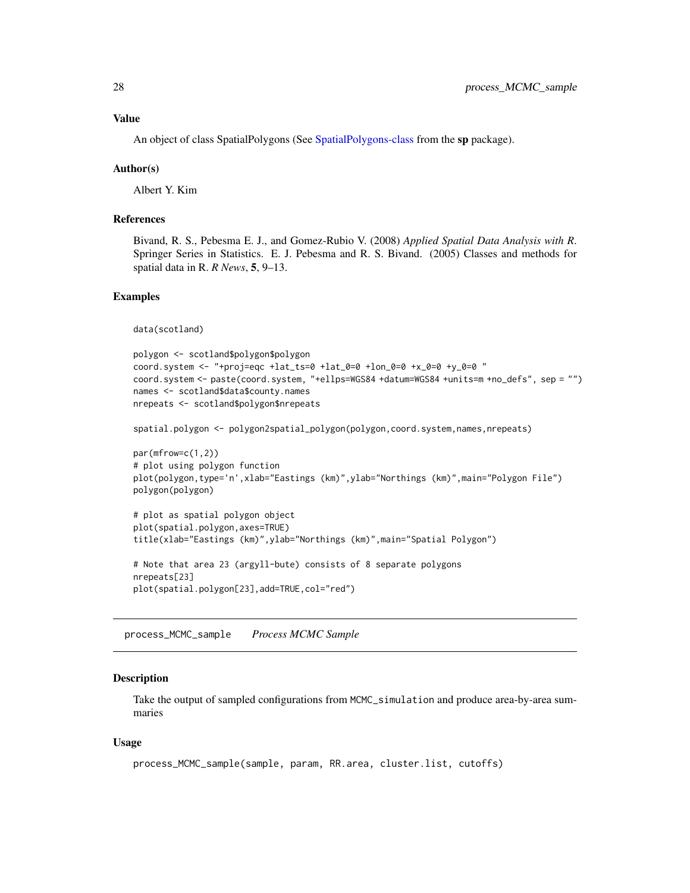#### <span id="page-27-0"></span>Value

An object of class SpatialPolygons (See [SpatialPolygons-class](#page-0-0) from the sp package).

# Author(s)

Albert Y. Kim

# References

Bivand, R. S., Pebesma E. J., and Gomez-Rubio V. (2008) *Applied Spatial Data Analysis with R*. Springer Series in Statistics. E. J. Pebesma and R. S. Bivand. (2005) Classes and methods for spatial data in R. *R News*, 5, 9–13.

#### Examples

```
data(scotland)
```

```
polygon <- scotland$polygon$polygon
coord.system <- "+proj=eqc +lat_ts=0 +lat_0=0 +lon_0=0 +x_0=0 +y_0=0 "
coord.system <- paste(coord.system, "+ellps=WGS84 +datum=WGS84 +units=m +no_defs", sep = "")
names <- scotland$data$county.names
nrepeats <- scotland$polygon$nrepeats
```

```
spatial.polygon <- polygon2spatial_polygon(polygon,coord.system,names,nrepeats)
```

```
par(mfrow=c(1,2))
# plot using polygon function
plot(polygon,type='n',xlab="Eastings (km)",ylab="Northings (km)",main="Polygon File")
polygon(polygon)
```

```
# plot as spatial polygon object
plot(spatial.polygon,axes=TRUE)
title(xlab="Eastings (km)",ylab="Northings (km)",main="Spatial Polygon")
# Note that area 23 (argyll-bute) consists of 8 separate polygons
nrepeats[23]
plot(spatial.polygon[23],add=TRUE,col="red")
```
process\_MCMC\_sample *Process MCMC Sample*

#### Description

Take the output of sampled configurations from MCMC\_simulation and produce area-by-area summaries

#### Usage

```
process_MCMC_sample(sample, param, RR.area, cluster.list, cutoffs)
```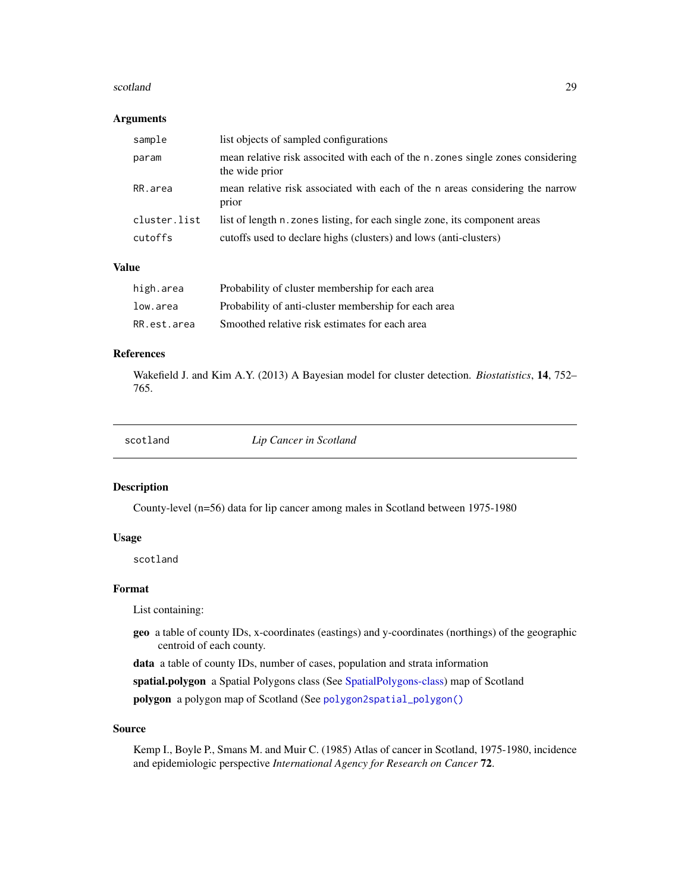#### <span id="page-28-0"></span>scotland 29

#### Arguments

| sample       | list objects of sampled configurations                                                            |
|--------------|---------------------------------------------------------------------------------------------------|
| param        | mean relative risk associted with each of the n. zones single zones considering<br>the wide prior |
| RR.area      | mean relative risk associated with each of the n areas considering the narrow<br>prior            |
| cluster.list | list of length n. zones listing, for each single zone, its component areas                        |
| cutoffs      | cutoffs used to declare highs (clusters) and lows (anti-clusters)                                 |

# Value

| high.area   | Probability of cluster membership for each area      |
|-------------|------------------------------------------------------|
| low.area    | Probability of anti-cluster membership for each area |
| RR.est.area | Smoothed relative risk estimates for each area       |

#### References

Wakefield J. and Kim A.Y. (2013) A Bayesian model for cluster detection. *Biostatistics*, 14, 752– 765.

| scotland |  |  |
|----------|--|--|

**Lip Cancer in Scotland** 

# Description

County-level (n=56) data for lip cancer among males in Scotland between 1975-1980

#### Usage

scotland

# Format

List containing:

geo a table of county IDs, x-coordinates (eastings) and y-coordinates (northings) of the geographic centroid of each county.

data a table of county IDs, number of cases, population and strata information

spatial.polygon a Spatial Polygons class (See [SpatialPolygons-class\)](#page-0-0) map of Scotland

polygon a polygon map of Scotland (See [polygon2spatial\\_polygon\(\)](#page-26-1)

#### Source

Kemp I., Boyle P., Smans M. and Muir C. (1985) Atlas of cancer in Scotland, 1975-1980, incidence and epidemiologic perspective *International Agency for Research on Cancer* 72.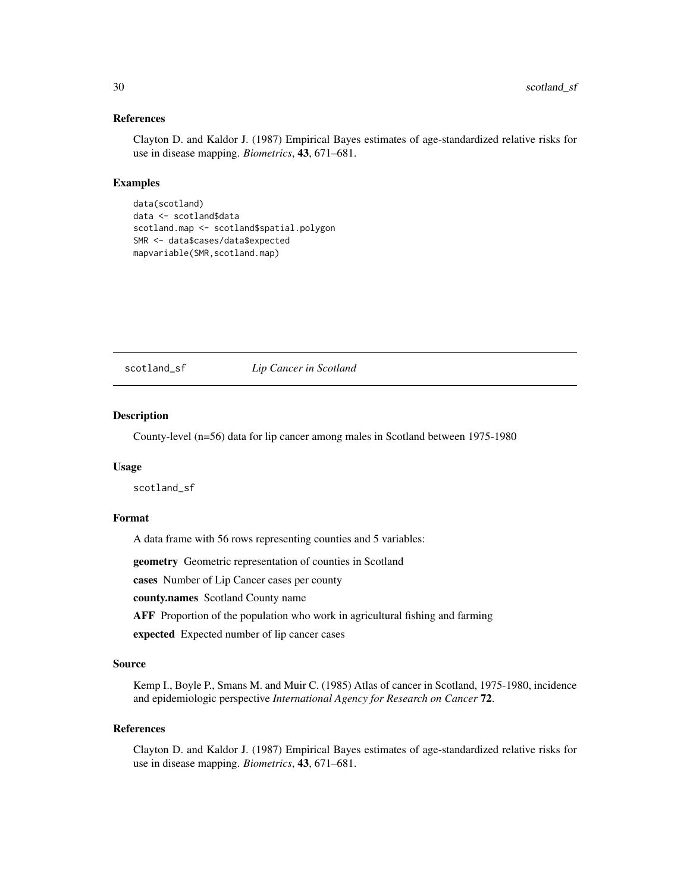#### <span id="page-29-0"></span>References

Clayton D. and Kaldor J. (1987) Empirical Bayes estimates of age-standardized relative risks for use in disease mapping. *Biometrics*, 43, 671–681.

# Examples

```
data(scotland)
data <- scotland$data
scotland.map <- scotland$spatial.polygon
SMR <- data$cases/data$expected
mapvariable(SMR,scotland.map)
```
# scotland\_sf *Lip Cancer in Scotland*

# Description

County-level (n=56) data for lip cancer among males in Scotland between 1975-1980

#### Usage

scotland\_sf

#### Format

A data frame with 56 rows representing counties and 5 variables:

geometry Geometric representation of counties in Scotland

cases Number of Lip Cancer cases per county

county.names Scotland County name

AFF Proportion of the population who work in agricultural fishing and farming

expected Expected number of lip cancer cases

# Source

Kemp I., Boyle P., Smans M. and Muir C. (1985) Atlas of cancer in Scotland, 1975-1980, incidence and epidemiologic perspective *International Agency for Research on Cancer* 72.

#### References

Clayton D. and Kaldor J. (1987) Empirical Bayes estimates of age-standardized relative risks for use in disease mapping. *Biometrics*, 43, 671–681.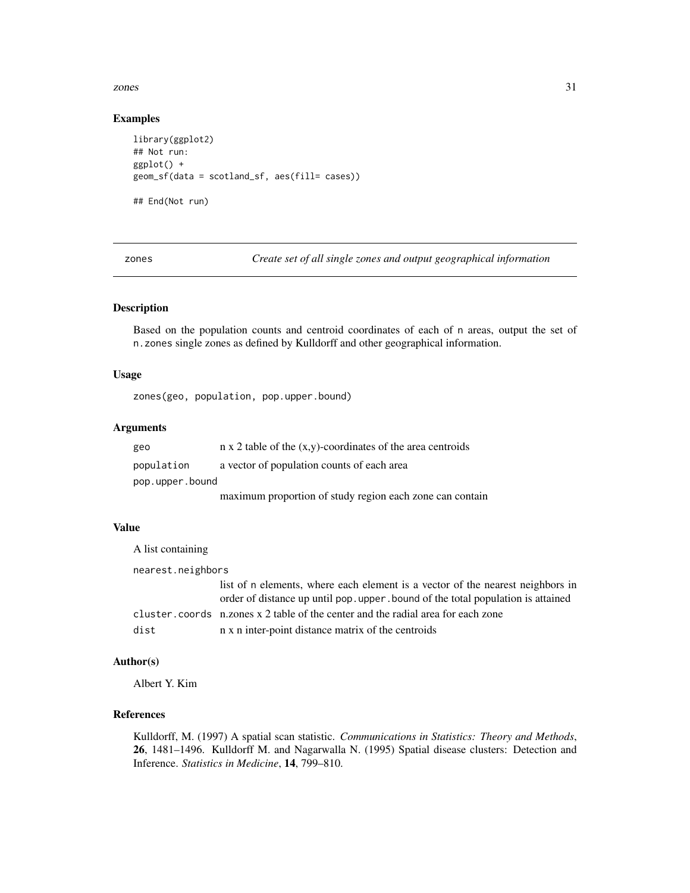#### <span id="page-30-0"></span>zones 31

# Examples

```
library(ggplot2)
## Not run:
ggplot() +
geom_sf(data = scotland_sf, aes(fill= cases))
## End(Not run)
```
zones *Create set of all single zones and output geographical information*

# Description

Based on the population counts and centroid coordinates of each of n areas, output the set of n.zones single zones as defined by Kulldorff and other geographical information.

#### Usage

zones(geo, population, pop.upper.bound)

# Arguments

| geo             | $n \times 2$ table of the $(x,y)$ -coordinates of the area centroids |  |
|-----------------|----------------------------------------------------------------------|--|
| population      | a vector of population counts of each area                           |  |
| pop.upper.bound |                                                                      |  |
|                 | maximum proportion of study region each zone can contain             |  |

# Value

A list containing nearest.neighbors list of n elements, where each element is a vector of the nearest neighbors in order of distance up until pop.upper.bound of the total population is attained cluster.coords n.zones x 2 table of the center and the radial area for each zone dist n x n inter-point distance matrix of the centroids

# Author(s)

Albert Y. Kim

# References

Kulldorff, M. (1997) A spatial scan statistic. *Communications in Statistics: Theory and Methods*, 26, 1481–1496. Kulldorff M. and Nagarwalla N. (1995) Spatial disease clusters: Detection and Inference. *Statistics in Medicine*, 14, 799–810.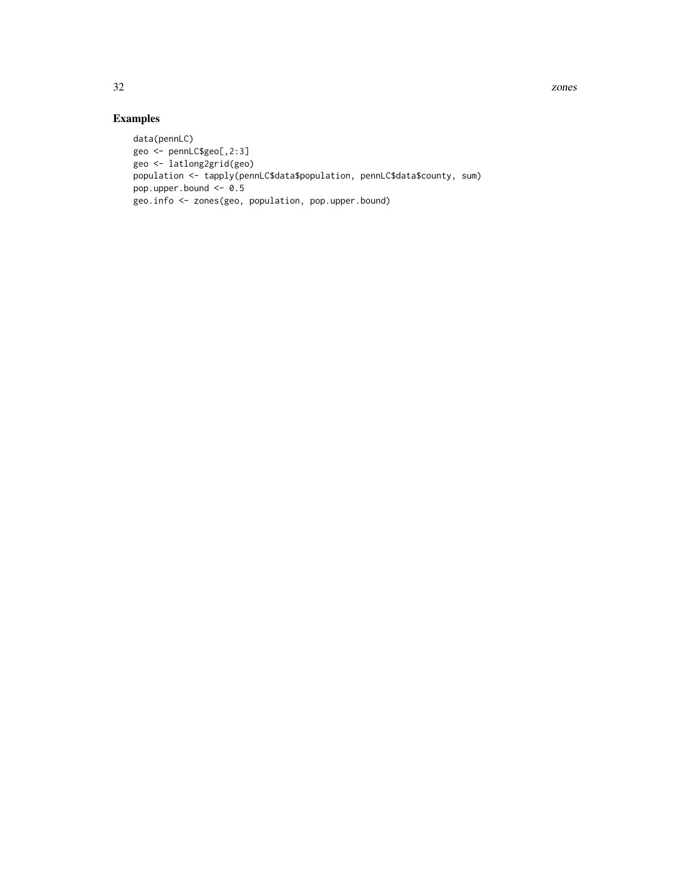32 zones

```
data(pennLC)
geo <- pennLC$geo[,2:3]
geo <- latlong2grid(geo)
population <- tapply(pennLC$data$population, pennLC$data$county, sum)
pop.upper.bound <- 0.5
geo.info <- zones(geo, population, pop.upper.bound)
```